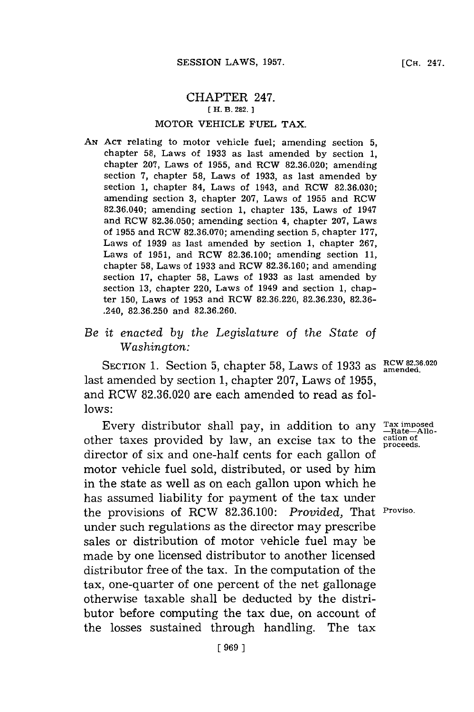## CHAPTER 247. [ H. B. **282.]1**

## MOTOR VEHICLE **FUEL** TAX.

*AN* **ACT** relating to motor vehicle fuel; amending section **5,** chapter **58,** Laws of **1933** as last amended **by** section **1,** chapter **207,** Laws of **1955,** and RCW **82.36.020;** amending section **7,** chapter **58,** Laws of **1933,** as last amended **by** section **1,** chapter 84, Laws of 1943, and RCW **82.36.030;** amending section **3,** chapter **207,** Laws of **1955** and RCW **82.36.040;** amending section **1,** chapter **135,** Laws of 1947 and RCW **82.36.050;** amending section 4, chapter **207,** Laws of **1955** and RCW **82.36.070;** amending section **5,** chapter **177,** Laws of **1939** as last amended **by** section **1,** chapter **267,** Laws of **1951,** and RCW **82.36.100;** amending section **11,** chapter **58,** Laws of **1933** and RCW **82.36.160;** and amending section **17,** chapter **58,** Laws of **1933** as last amended **by** section **13,** chapter 220, Laws of 1949 and section **1,** chapter **150,** Laws of **1953** and RCW **82.36.220, 82.36.230, 82.36-** .240, **82.36.250** and **82.36.260.**

## *Be it enacted by the Legislature of the State of Washington:*

SECTION 1. Section 5, chapter 58, Laws of 1933 as  $\frac{RCW 82.36.020}{\text{amended.}}}$ last amended **by** section **1,** chapter **207,** Laws of **1955,** and RCW **82.36.020** are each amended to read as fol**lows:**

Every distributor shall pay, in addition to any  $\frac{Tax \text{ imposed}}{P}$ other taxes provided **by** law, an excise tax to the **cation of proceeds.** director of six and one-half cents for each gallon of motor vehicle fuel sold, distributed, or used **by** him in the state as well as on each gallon upon which he has assumed liability for payment of the tax under the provisions of RCW **82.36.100:** *Provided,* That **Proviso.** under such regulations as the director may prescribe sales or distribution of motor vehicle fuel may be made **by** one licensed distributor to another licensed distributor free of the tax. In the computation of the tax, one-quarter of one percent of the net gallonage otherwise taxable shall be deducted **by** the distributor before computing the tax due, on account of the losses sustained through handling. The tax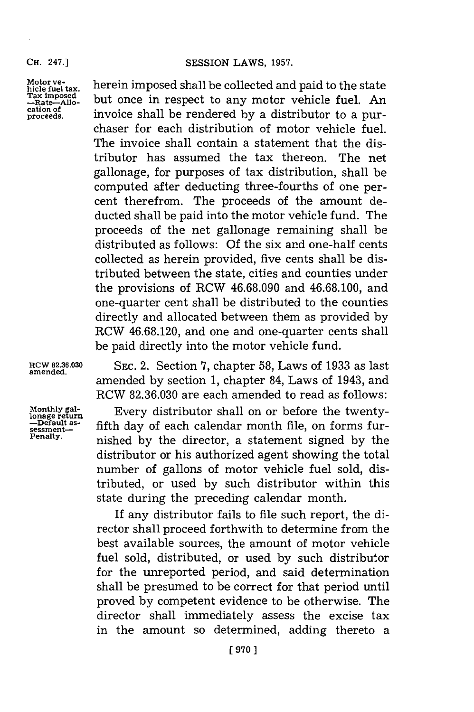**Motor ve- hicle fuel tax. ax im posd -Rate-\_llo cation of proceeds.**

herein imposed shall be collected and paid to the state but once in respect to any motor vehicle fuel. An invoice shall be rendered **by** a distributor to a purchaser for each distribution of motor vehicle fuel. The invoice shall contain a statement that the distributor has assumed the tax thereon. The net gallonage, for purposes of tax distribution, shall be computed after deducting three-fourths of one percent therefrom. The proceeds of the amount deducted shall be paid into the motor vehicle fund. The proceeds of the net gallonage remaining shall be distributed as follows: **Of** the six and one-half cents collected as herein provided, five cents shall be distributed between the state, cities and counties under the provisions of RCW **46.68.090** and **46.68.100,** and one-quarter cent shall be distributed to the counties directly and allocated between them as provided **by** RCW **46.68.120,** and one and one-quarter cents shall be paid directly into the motor vehicle fund.

**RCW 82.36.030 amended.**

**Monthly gal-<br>lonage return<br>—Default as-<br>sessment— Penalty.**

**SEC.** 2. Section **7,** chapter **58,** Laws of **1933** as last amended **by** section **1,** chapter 84, Laws of 1943, and RCW **82.36.030** are each amended to read as follows:

Every distributor shall on or before the twentyfifth day of each calendar month file, on forms furnished **by** the director, a statement signed **by** the distributor or his authorized agent showing the total number of gallons of motor vehicle fuel sold, distributed, or used **by** such distributor within this state during the preceding calendar month.

If any distributor fails to file such report, the director shall proceed forthwith to determine from the best available sources, the amount of motor vehicle fuel sold, distributed, or used **by** such distributor for the unreported period, and said determination shall be presumed to be correct for that period until proved **by** competent evidence to be otherwise. The director shall immediately assess the excise tax in the amount so determined, adding thereto a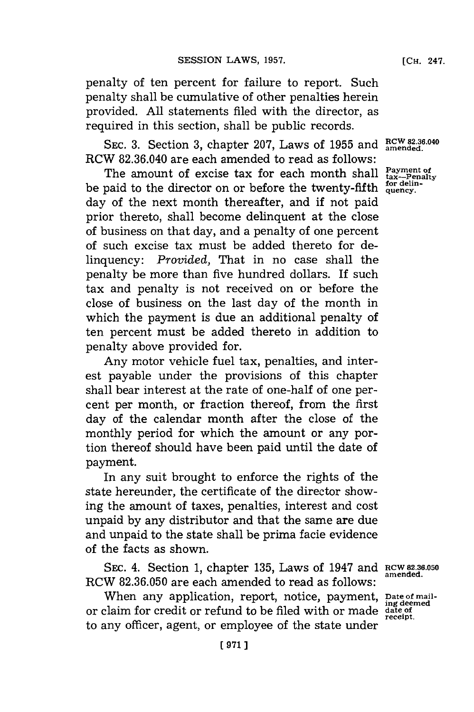penalty of ten percent for failure to report. Such penalty shall be cumulative of other penalties herein provided. **All** statements filed with the director, as required in this section, shall be public records.

SEC. 3. Section 3, chapter 207, Laws of 1955 and  $\frac{RCW 82.36.040}{\text{amended}}$ RCW **82.36.040** are each amended to read as follows:

The amount of excise tax for each month shall  $P_{\text{ax}-\text{Penalty}}^{\text{Payment of}}$ be paid to the director on or before the twenty-fifth  $_{quency.}^{for cell}$ day of the next month thereafter, and if not paid prior thereto, shall become delinquent at the close of business on that day, and a penalty of one percent of such excise tax must be added thereto for delinquency: *Provided,* That in no case shall the penalty be more than five hundred dollars. If such tax and penalty is not received on or before the close of business on the last day of the month in which the payment is due an additional penalty of ten percent must be added thereto in addition to penalty above provided for.

Any motor vehicle fuel tax, penalties, and interest payable under the provisions of this chapter shall bear interest at the rate of one-half of one percent per month, or fraction thereof, from the first day of the calendar month after the close of the monthly period for which the amount or any portion thereof should have been paid until the date of payment.

In any suit brought to enforce the rights of the state hereunder, the certificate of the director showing the amount of taxes, penalties, interest and cost unpaid **by** any distributor and that the same are due and unpaid to the state shall be prima facie evidence of the facts as shown.

**SEC.** 4. Section **1,** chapter **135,** Laws of 1947 and **RCW 82.36.050** RCW **82.36.050** are each amended to read as **follows:**

When any application, report, notice, payment, Date of mailor claim for credit or refund to be filed with or made **date of** to any officer, agent, or employee of the state under

**amended.**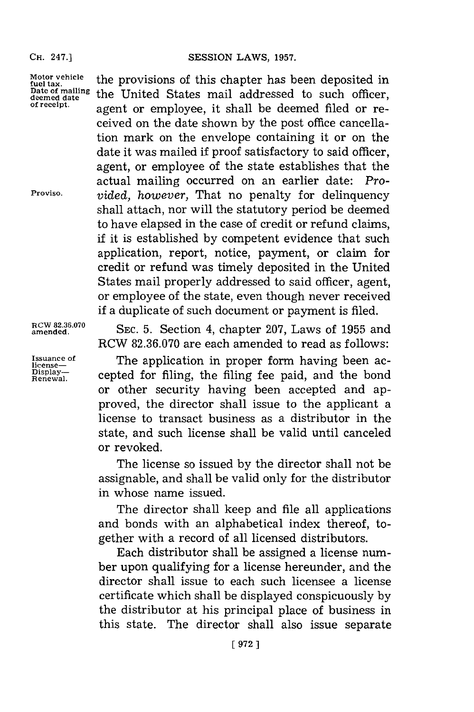**Motor vehicle fuel tax. Date of mailing deemed date of receipt.**

**Proviso.**

**ROW 82.36.070 amended.**

**Issuance of license-Display-Renewal.**

the provisions of this chapter has been deposited in the United States mail addressed to such officer, agent or employee, it shall be deemed filed or received on the date shown **by** the post office cancellation mark on the envelope containing it or on the date it was mailed if proof satisfactory to said officer, agent, or employee of the state establishes that the actual mailing occurred on an earlier date: *Provided, however,* That no penalty for delinquency shall attach, nor will the statutory period be deemed to have elapsed in the case of credit or refund claims, if it is established **by** competent evidence that such application, report, notice, payment, or claim for credit or refund was timely deposited in the United States mail properly addressed to said officer, agent, or employee of the state, even though never received if a duplicate of such document or payment is filed.

**SEC. 5.** Section 4, chapter **207,** Laws of **1955** and RCW **82.36.070** are each amended to read as follows:

The application in proper form having been accepted for filing, the filing fee paid, and the bond or other security having been accepted and approved, the director shall issue to the applicant a license to transact business as a distributor in the state, and such license shall be valid until canceled or revoked.

The license so issued **by** the director shall not be assignable, and shall be valid only for the distributor in whose name issued.

The director shall keep and file all applications and bonds with an alphabetical index thereof, together with a record of all licensed distributors.

Each distributor shall be assigned a license number upon qualifying for a license hereunder, and the director shall issue to each such licensee a license certificate which shall be displayed conspicuously **by** the distributor at his principal place of business in this state. The director shall also issue separate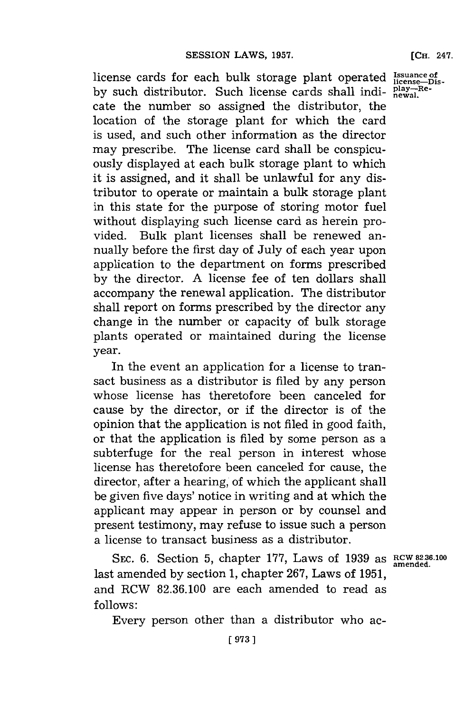license cards for each bulk storage plant operated Issuare by such distributor. Such license cards shall indicate the number so assigned the distributor, the location of the storage plant for which the card is used, and such other information as the director may prescribe. The license card shall be conspicuously displayed at each bulk storage plant to which it is assigned, and it shall be unlawful for any distributor to operate or maintain a bulk storage plant in this state for the purpose of storing motor fuel without displaying such license card as herein provided. Bulk plant licenses shall be renewed annually before the first day of July of each year upon application to the department on forms prescribed **by** the director. **A** license fee of ten dollars shall accompany the renewal application. The distributor shall report on forms prescribed **by** the director any change in the number or capacity of bulk storage plants operated or maintained during the license year.

In the event an application for a license to transact business as a distributor is filed **by** any person whose license has theretofore been canceled for cause **by** the director, or if the director is of the opinion that the application is not filed in good faith, or that the application is filed **by** some person as a subterfuge for the real person in interest whose license has theretofore been canceled for cause, the director, after a hearing, of which the applicant shall be given five days' notice in writing and at which the applicant may appear in person or **by** counsel and present testimony, may refuse to issue such a person a license to transact business as a distributor.

SEC. **6.** Section **5,** chapter **177,** Laws of **1939** as **RCW 82.36.100** last amended **by** section **1,** chapter **267,** Laws of **195 1,** and RCW **82.36.100** are each amended to read as **follows:**

Every person other than a distributor who ac-

**amended.**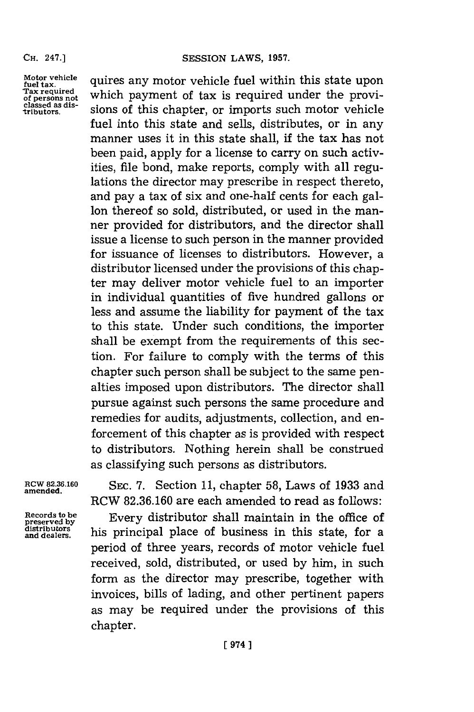Motor vehicle quires any motor vehicle fuel within this state upon<br>tax required which normant of tax is nonvined under the russed Tax required which payment of tax is required under the provi-<br>classed as dis-<br>tributors. Sions of this chapter, or imports such motor vehicle sions of this chapter, or imports such motor vehicle fuel into this state and sells, distributes, or in any manner uses it in this state shall, if the tax has not been paid, apply for a license to carry on such activities, file bond, make reports, comply with all regulations the director may prescribe in respect thereto, and pay a tax of six and one-half cents for each gallon thereof so sold, distributed, or used in the manner provided for distributors, and the director shall issue a license to such person in the manner provided for issuance of licenses to distributors. However, a distributor licensed under the provisions of this chapter may deliver motor vehicle fuel to an importer in individual quantities of five hundred gallons or less and assume the liability for payment of the tax to this state. Under such conditions, the importer shall be exempt from the requirements of this section. For failure to comply with the terms of this chapter such person shall be subject to the same penalties imposed upon distributors. The director shall pursue against such persons the same procedure and remedies for audits, adjustments, collection, and enforcement of this chapter as is provided with respect to distributors. Nothing herein shall be construed as classifying such persons as distributors.

**amended.**

**RCW 82.36.160 SEC. 7.** Section **11,** chapter **58,** Laws of **1933** and RCW **82.36.160** are each amended to read as follows:

Records to be **Every distributor** shall maintain in the office of **preserved by distributor** shall maintain in the office of distributors and dealers. <br>and dealers, <br>and dealers, period of three years, records of motor vehicle fuel received, sold, distributed, or used **by** him, in such form as the director may prescribe, together with invoices, bills of lading, and other pertinent papers as may be required under the provisions of this chapter.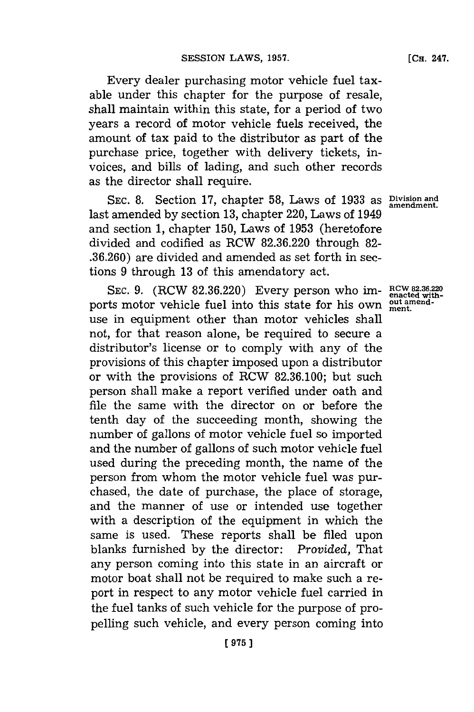Every dealer purchasing motor vehicle fuel taxable under this chapter for the purpose of resale, shall maintain within this state, for a period of two years a record of motor vehicle fuels received, the amount of tax paid to the distributor as part of the purchase price, together with delivery tickets, invoices, and bills of lading, and such other records as the director shall require.

**SEC. 8.** Section **17,** chapter **58,** Laws of **1933** as **Division and amendment.** last amended **by** section **13,** chapter 220, Laws of 1949 and section **1,** chapter **150,** Laws of **1953** (heretofore divided and codified as RCW **82.36.220** through **82- .36.260)** are divided and amended as set forth in sections **9** through **13** of this amendatory act.

SEC. 9. (RCW 82.36.220) Every person who im-  $RCW$  82.36.220 ports motor vehicle fuel into this state for his own **put amend**use in equipment other than motor vehicles shall not, for that reason alone, be required to secure a distributor's license or to comply with any of the provisions of this chapter imposed upon a distributor or with the provisions of RCW **82.36.100;** but such person shall make a report verified under oath and file the same with the director on or before the tenth day of the succeeding month, showing the number of gallons of motor vehicle fuel so imported and the number of gallons of such motor vehicle fuel used during the preceding month, the name of the person from whom the motor vehicle fuel was purchased, the date of purchase, the place of storage, and the manner of use or intended use together with a description of the equipment in which the same is used. These reports shall be filed upon blanks furnished **by** the director: *Provided,* That any person coming into this state in an aircraft or motor boat shall not be required to make such a report in respect to any motor vehicle fuel carried in the fuel tanks of such vehicle for the purpose of propelling such vehicle, and every person coming into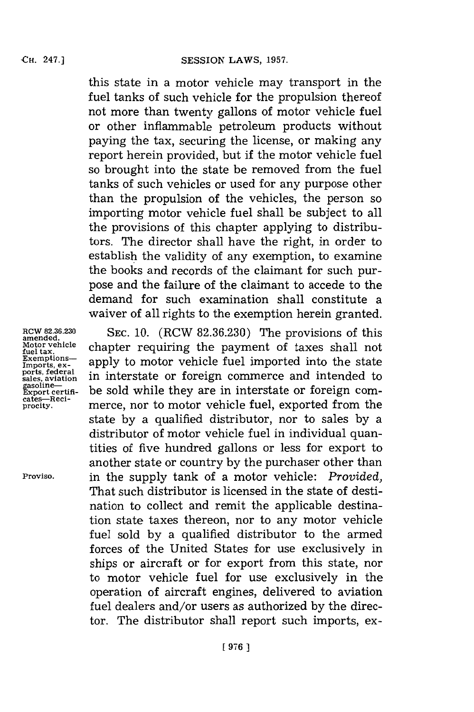this state in a motor vehicle may transport in the fuel tanks of such vehicle for the propulsion thereof not more than twenty gallons of motor vehicle fuel or other inflammable petroleum products without paying the tax, securing the license, or making any report herein provided, but if the motor vehicle fuel so brought into the state be removed from the fuel tanks of such vehicles or used for any purpose other than the propulsion of the vehicles, the person so importing motor vehicle fuel shall be subject to all the provisions of this chapter applying to distributors. The director shall have the right, in order to establish the validity of any exemption, to examine the books and records of the claimant for such purpose and the failure of the claimant to accede to the demand for such examination shall constitute a waiver of all rights to the exemption herein granted.

**ROW 82.36.230 amended. Motor vehicle fuel tax. Exemptions** $ports, federal$ **sales, aviation gasoline-Export certifi-cates-Reciprocity.**

**Proviso.**

**SEC. 10.** (RCW **82.36.230)** The provisions of this chapter requiring the payment of taxes shall not apply to motor vehicle fuel imported into the state in interstate or foreign commerce and intended to be sold while they are in interstate or foreign commerce, nor to motor vehicle fuel, exported from the state **by** a qualified distributor, nor to sales **by** a distributor of motor vehicle fuel in individual quantities of five hundred gallons or less for export to another state or country **by** the purchaser other than in the supply tank of a motor vehicle: *Provided,* That such distributor is licensed in the state of destination to collect and remit the applicable destination state taxes thereon, nor to any motor vehicle fuel sold **by** a qualified distributor to the armed forces of the United States for use exclusively in ships or aircraft or for export from this state, nor to motor vehicle fuel for use exclusively in the operation of aircraft engines, delivered to aviation fuel dealers and/or users as authorized **by** the director. The distributor shall report such imports, ex-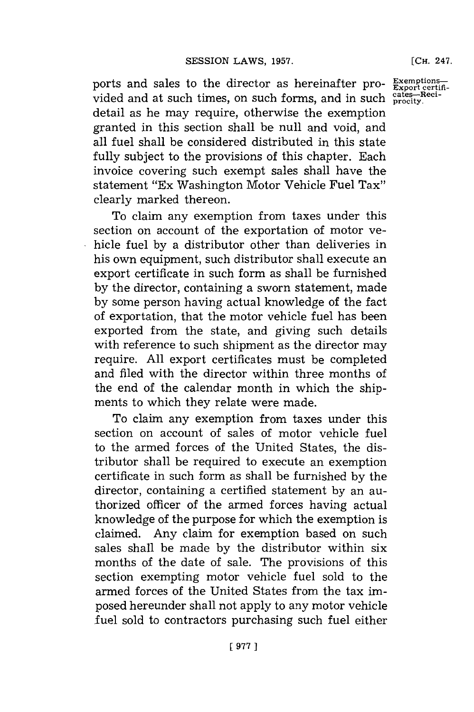**[CH.** 247.

ports and sales to the director as hereinafter pro- $\frac{Exemp}{Export}$ vided and at such times, on such forms, and in such procity detail as he may require, otherwise the exemption granted in this section shall be null and void, and all fuel shall be considered distributed in this state fully subject to the provisions of this chapter. Each invoice covering such exempt sales shall have the statement "Ex Washington Motor Vehicle Fuel Tax" clearly marked thereon.

section on account of the exportation of motor vehicle fuel **by** a distributor other than deliveries in his own equipment, such distributor shall execute an export certificate in such form as shall be furnished **by** the director, containing a sworn statement, made **by** some person having actual knowledge of the fact of exportation, that the motor vehicle fuel has been exported from the state, and giving such details with reference to such shipment as the director may require. **All** export certificates must be completed and filed with the director within three months of the end of the calendar month in which the shipments to which they relate were made.

To claim any exemption from taxes under this section on account of sales of motor vehicle fuel to the armed forces of the United States, the distributor shall be required to execute an exemption certificate in such form as shall be furnished **by** the director, containing a certified statement **by** an authorized officer of the armed forces having actual knowledge of the purpose for which the exemption is claimed. Any claim for exemption based on such sales shall be made **by** the distributor within six months of the date of sale. The provisions of this section exempting motor vehicle fuel sold to the armed forces of the United States from the tax imposed hereunder shall not apply to any motor vehicle fuel sold to contractors purchasing such fuel either

To claim any exemption from taxes under this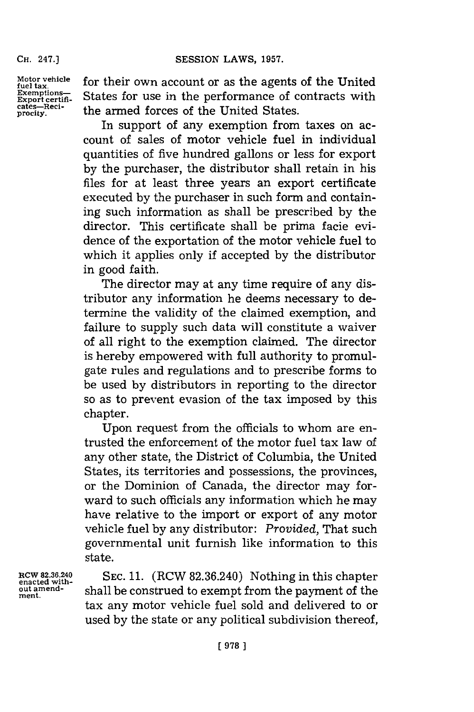**CH.** 247.]

**Motor vehicle fuel tax. Exemptions-Export certificates-Reci-pracity.**

for their own account or as the agents of the United States for use in the performance of contracts with the armed forces of the United States.

In support of any exemption from taxes on account of sales of motor vehicle fuel in individual quantities of five hundred gallons or less for export **by** the purchaser, the distributor shall retain in his files for at least three years an export certificate executed **by** the purchaser in such form and containing such information as shall be prescribed **by** the director. This certificate shall be prima facie evidence of the exportation of the motor vehicle fuel to which it applies only if accepted **by** the distributor in good faith.

The director may at any time require of any distributor any information he deems necessary to determine the validity of the claimed exemption, and failure to supply such data will constitute a waiver of all right to the exemption claimed. The director is hereby empowered with full authority to promulgate rules and regulations and to prescribe forms to be used **by** distributors in reporting to the director so as to prevent evasion of the tax imposed **by** this chapter.

Upon request from the officials to whom are entrusted the enforcement of the motor fuel tax law of any other state, the District of Columbia, the United States, its territories and possessions, the provinces, or the Dominion of Canada, the director may forward to such officials any information which he may have relative to the import or export of any motor vehicle fuel **by** any distributor: *Provided,* That such governmental unit furnish like information to this state.

**ItCW 82.36.240 enacted without amend**ment.

**SEC. 11.** (RCW **82.36.240)** Nothing in this chapter shall be construed to exempt from the payment of the tax any motor vehicle fuel sold and delivered to or used **by** the state or any political subdivision thereof,